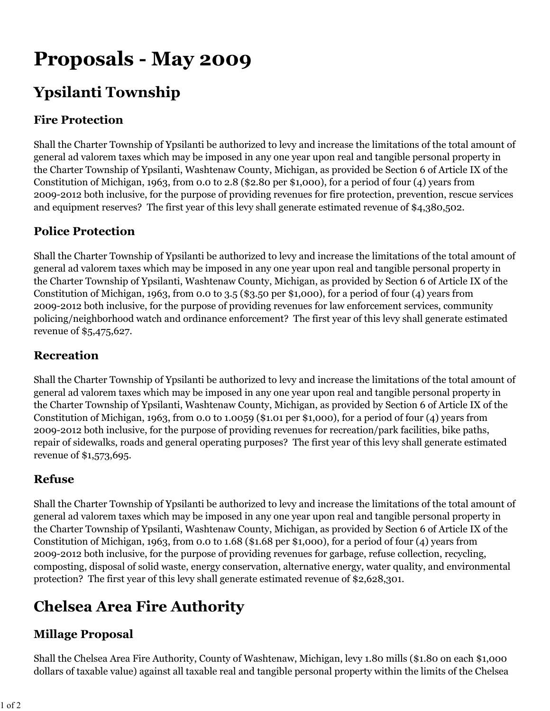# **Proposals - May 2009**

# **Ypsilanti Township**

### **Fire Protection**

Shall the Charter Township of Ypsilanti be authorized to levy and increase the limitations of the total amount of general ad valorem taxes which may be imposed in any one year upon real and tangible personal property in the Charter Township of Ypsilanti, Washtenaw County, Michigan, as provided be Section 6 of Article IX of the Constitution of Michigan, 1963, from 0.0 to 2.8 (\$2.80 per \$1,000), for a period of four (4) years from 2009-2012 both inclusive, for the purpose of providing revenues for fire protection, prevention, rescue services and equipment reserves? The first year of this levy shall generate estimated revenue of \$4,380,502.

### **Police Protection**

Shall the Charter Township of Ypsilanti be authorized to levy and increase the limitations of the total amount of general ad valorem taxes which may be imposed in any one year upon real and tangible personal property in the Charter Township of Ypsilanti, Washtenaw County, Michigan, as provided by Section 6 of Article IX of the Constitution of Michigan, 1963, from 0.0 to 3.5 (\$3.50 per \$1,000), for a period of four (4) years from 2009-2012 both inclusive, for the purpose of providing revenues for law enforcement services, community policing/neighborhood watch and ordinance enforcement? The first year of this levy shall generate estimated revenue of \$5,475,627.

#### **Recreation**

Shall the Charter Township of Ypsilanti be authorized to levy and increase the limitations of the total amount of general ad valorem taxes which may be imposed in any one year upon real and tangible personal property in the Charter Township of Ypsilanti, Washtenaw County, Michigan, as provided by Section 6 of Article IX of the Constitution of Michigan, 1963, from 0.0 to 1.0059 (\$1.01 per \$1,000), for a period of four (4) years from 2009-2012 both inclusive, for the purpose of providing revenues for recreation/park facilities, bike paths, repair of sidewalks, roads and general operating purposes? The first year of this levy shall generate estimated revenue of \$1,573,695.

#### **Refuse**

Shall the Charter Township of Ypsilanti be authorized to levy and increase the limitations of the total amount of general ad valorem taxes which may be imposed in any one year upon real and tangible personal property in the Charter Township of Ypsilanti, Washtenaw County, Michigan, as provided by Section 6 of Article IX of the Constitution of Michigan, 1963, from 0.0 to 1.68 (\$1.68 per \$1,000), for a period of four (4) years from 2009-2012 both inclusive, for the purpose of providing revenues for garbage, refuse collection, recycling, composting, disposal of solid waste, energy conservation, alternative energy, water quality, and environmental protection? The first year of this levy shall generate estimated revenue of \$2,628,301.

# **Chelsea Area Fire Authority**

#### **Millage Proposal**

Shall the Chelsea Area Fire Authority, County of Washtenaw, Michigan, levy 1.80 mills (\$1.80 on each \$1,000 dollars of taxable value) against all taxable real and tangible personal property within the limits of the Chelsea